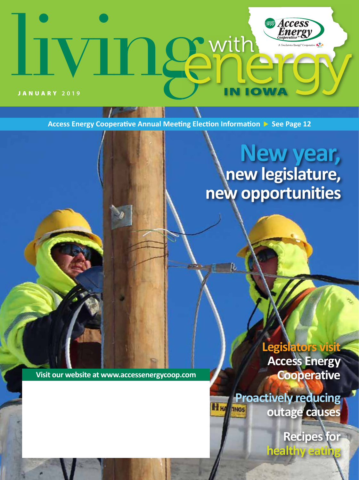# **Access**<br>**Energy** 1 Semith tive KTX ON W JANUARY **2019**

**Access Energy Cooperative Annual Meeting Election Information > See Page 12** 

# **New year, new legislature, new opportunities**

**Visit our website at www.accessenergycoop.com**

**Legislators visit Access Energy Cooperative**

**Proactively reducing outage causes**

> **Recipes for healthy eating**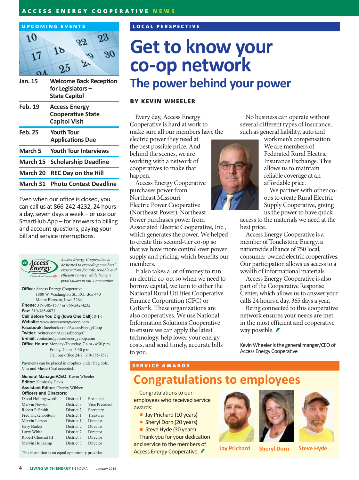### **ACCESS ENERGY COOPERATIVE NEWS**



| Jan. 15        | <b>Welcome Back Reception</b><br>for Legislators $-$<br><b>State Capitol</b> |
|----------------|------------------------------------------------------------------------------|
| <b>Feb. 19</b> | <b>Access Energy</b><br><b>Cooperative State</b><br><b>Capitol Visit</b>     |
| <b>Feb. 25</b> | <b>Youth Tour</b><br><b>Applications Due</b>                                 |
| March 5        | <b>Youth Tour Interviews</b>                                                 |
| March 15       | <b>Scholarship Deadline</b>                                                  |
| March 20       | <b>REC Day on the Hill</b>                                                   |
| March 31       | <b>Photo Contest Deadline</b>                                                |

Even when our office is closed, you can call us at 866-242-4232, 24 hours a day, seven days a week – or use our SmartHub App – for answers to billing and account questions, paying your bill and service interruptions.



*Access Energy Cooperative is dedicated to exceeding members' expectations for safe, reliable and efficient service, while being a good citizen in our communities.*

**Office:** Access Energy Cooperative 1800 W. Washington St., P.O. Box 440 Mount Pleasant, Iowa 52641 **Phone:** 319-385-1577 or 866-242-4232 **Fax:** 319-385-6873

**Call Before You Dig (Iowa One Call):** 8-1-1 **Website:** www.accessenergycoop.com **Facebook:** facebook.com/AccessEnergyCoop **Twitter:** twitter.com/AccessEnergyC **E-mail:** contactus@accessenergycoop.com **Office Hours:** Monday-Thursday, 7 a.m.-4:30 p.m. Friday, 7 a.m.-3:30 p.m. Call our office 24/7: 319-385-1577.

Payments can be placed in dropbox under flag pole. Visa and MasterCard accepted.

**General Manager/CEO:** Kevin Wheeler **Editor:** Kimberly Davis **Assistant Editor:** Cherity Wibben **Officers and Directors:** District 1 **Dragidant** 

| David Hollingsworth | ріміст і   | r resident     |
|---------------------|------------|----------------|
| Marvin Newton       | District 3 | Vice President |
| Robert P. Smith     | District 2 | Secretary      |
| Fred Hickenbottom   | District 1 | Treasurer      |
| Marvin Larson       | District 1 | Director       |
| Jerry Barker        | District 2 | Director       |
| Larry White         | District 2 | Director       |
| Robert Chesnut III  | District 3 | Director       |
| Marvin Holtkamp     | District 3 | Director       |
|                     |            |                |

This institution is an equal opportunity provider.

### **LOCAL PERSPECTIVE**

## **Get to know your co-op network The power behind your power**

### **BY KEVIN WHEELER**

Every day, Access Energy Cooperative is hard at work to make sure all our members have the

electric power they need at the best possible price. And behind the scenes, we are working with a network of cooperatives to make that happen.

Access Energy Cooperative purchases power from Northeast Missouri Electric Power Cooperative (Northeast Power). Northeast Power purchases power from Associated Electric Cooperative, Inc., which generates the power. We helped to create this second-tier co-op so that we have more control over power supply and pricing, which benefits our members.

It also takes a lot of money to run an electric co-op, so when we need to borrow capital, we turn to either the National Rural Utilities Cooperative Finance Corporation (CFC) or CoBank. These organizations are also cooperatives. We use National Information Solutions Cooperative to ensure we can apply the latest technology, help lower your energy costs, and send timely, accurate bills to you.

No business can operate without several different types of insurance, such as general liability, auto and



workmen's compensation. We are members of Federated Rural Electric Insurance Exchange. This allows us to maintain reliable coverage at an affordable price.

We partner with other coops to create Rural Electric Supply Cooperative, giving us the power to have quick

access to the materials we need at the best price.

Access Energy Cooperative is a member of Touchstone Energy, a nationwide alliance of 750 local, consumer-owned electric cooperatives. Our participation allows us access to a wealth of informational materials.

Access Energy Cooperative is also part of the Cooperative Response Center, which allows us to answer your calls 24 hours a day, 365 days a year.

Being connected to this cooperative network ensures your needs are met in the most efficient and cooperative way possible. *≢* 

Kevin Wheeler is the general manger/CEO of Access Energy Cooperative

### **SERVICE AWARDS**

## **Congratulations to employees**

Congratulations to our employees who received service awards:

- **Jay Prichard (10 years)**
- Sheryl Dorn (20 years)

Steve Hyde (30 years) Thank you for your dedication and service to the members of Access Energy Cooperative. **Jay Prichard Sheryl Dorn Steve Hyde**



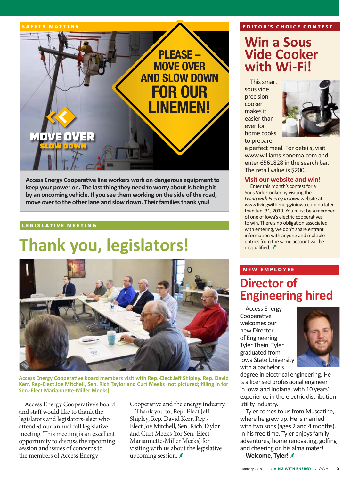

**Access Energy Cooperative line workers work on dangerous equipment to keep your power on. The last thing they need to worry about is being hit by an oncoming vehicle. If you see them working on the side of the road, move over to the other lane and slow down. Their families thank you!**

### **LEGISLATIVE MEETING**

# **Thank you, legislators!**



**Access Energy Cooperative board members visit with Rep.-Elect Jeff Shipley, Rep. David Kerr, Rep-Elect Joe Mitchell, Sen. Rich Taylor and Curt Meeks (not pictured; filling in for Sen.-Elect Mariannette-Miller Meeks).**

Access Energy Cooperative's board and staff would like to thank the legislators and legislators-elect who attended our annual fall legislative meeting. This meeting is an excellent opportunity to discuss the upcoming session and issues of concerns to the members of Access Energy

Cooperative and the energy industry.

Thank you to, Rep.-Elect Jeff Shipley, Rep. David Kerr, Rep.- Elect Joe Mitchell, Sen. Rich Taylor and Curt Meeks (for Sen.-Elect Mariannette-Miller Meeks) for visiting with us about the legislative upcoming session.  $\ddot{\mathscr{F}}$ 

### **EDITOR'S CHOICE CONTEST**

## **Win a Sous Vide Cooker with Wi-Fi!**

This smart sous vide precision cooker makes it easier than ever for home cooks to prepare



a perfect meal. For details, visit www.williams-sonoma.com and enter 6561828 in the search bar. The retail value is \$200.

### **Visit our website and win!**

Enter this month's contest for a Sous Vide Cooker by visiting the *Living with Energy in Iowa* website at www.livingwithenergyiniowa.com no later than Jan. 31, 2019. You must be a member of one of Iowa's electric cooperatives to win. There's no obligation associated with entering, we don't share entrant information with anyone and multiple entries from the same account will be disqualified.  $\blacktriangleright$ 

### **NEW EMPLOYEE Director of Engineering hired**

Access Energy **Cooperative** welcomes our new Director of Engineering Tyler Thein. Tyler graduated from Iowa State University with a bachelor's



degree in electrical engineering. He is a licensed professional engineer in Iowa and Indiana, with 10 years' experience in the electric distribution utility industry.

Tyler comes to us from Muscatine, where he grew up. He is married with two sons (ages 2 and 4 months). In his free time, Tyler enjoys family adventures, home renovating, golfing and cheering on his alma mater!

**Welcome, Tyler!**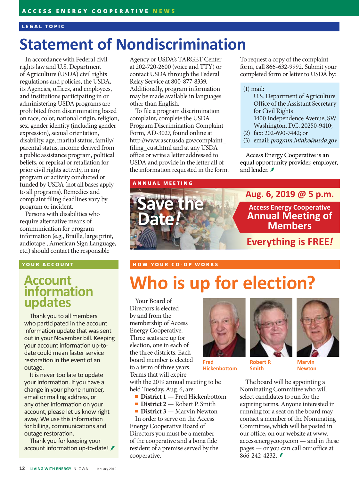### **LEGAL TOPIC**

## **Statement of Nondiscrimination**

In accordancewith Federal civil rights law and U.S. Department of Agriculture (USDA) civil rights regulations and policies, the USDA, its Agencies, offices, and employees, and institutions participating in or administering USDA programs are prohibited from discriminating based on race, color, national origin, religion, sex, gender identity (including gender expression), sexual orientation, disability, age, marital status, family/ parental status, income derived from a public assistance program, political beliefs, or reprisal or retaliation for prior civil rights activity, in any program or activity conducted or funded by USDA (not all bases apply to all programs). Remedies and complaint filing deadlines vary by program or incident.

Persons with disabilities who require alternative means of communication for program information (e.g., Braille, large print, audiotape , American Sign Language, etc.) should contact the responsible

### **YOUR ACCOUNT**

### **Account information updates**

Thank you to all members who participated in the account information update that was sent out in your November bill. Keeping your account information up-todate could mean faster service restoration in the event of an outage.

It is never too late to update your information. If you have a change in your phone number, email or mailing address, or any other information on your account, please let us know right away. We use this information for billing, communications and outage restoration.

Thank you for keeping your account information up-to-date! *≸*  Agency or USDA's TARGET Center at 202-720-2600 (voice and TTY) or contact USDA through the Federal Relay Service at 800-877-8339. Additionally, program information may be made available in languages other than English.

To file a program discrimination complaint, complete the USDA Program Discrimination Complaint Form, AD-3027, found online at http://www.ascr.usda.gov/complaint\_ filing\_cust.html and at any USDA office or write a letter addressed to USDA and provide in the letter all of the information requested in the form.

### **ANNUAL MEETING**

To request a copy of the complaint form, call 866-632-9992. Submit your completed form or letter to USDA by:

### (1) mail:

- U.S. Department of Agriculture Office of the Assistant Secretary for Civil Rights 1400 Independence Avenue, SW Washington, D.C. 20250-9410;
- (2) fax: 202-690-7442; or
- (3) email: *program.intake@usda.gov*

Access Energy Cooperative is an equal opportunity provider, employer, and lender. *₹* 



### **HOW YOUR CO-OP WORKS**

# **Who is up for election?**

Your Board of Directors is elected by and from the membership of Access Energy Cooperative. Three seats are up for election, one in each of the three districts. Each board member is elected to a term of three years. Terms that will expire with the 2019 annual meeting to be

held Tuesday, Aug. 6, are:

cooperative.

**District 1** — Fred Hickenbottom **District 2** — Robert P. Smith ■ **District 3** — Marvin Newton In order to serve on the Access Energy Cooperative Board of Directors you must be a member of the cooperative and a bona fide resident of a premise served by the



**Fred Hickenbottom**



**Smith**

**Marvin Newton**

The board will be appointing a Nominating Committee who will select candidates to run for the expiring terms. Anyone interested in running for a seat on the board may contact a member of the Nominating Committee, which will be posted in our office, on our website at www. accessenergycoop.com — and in these pages — or you can call our office at 866-242-4232.